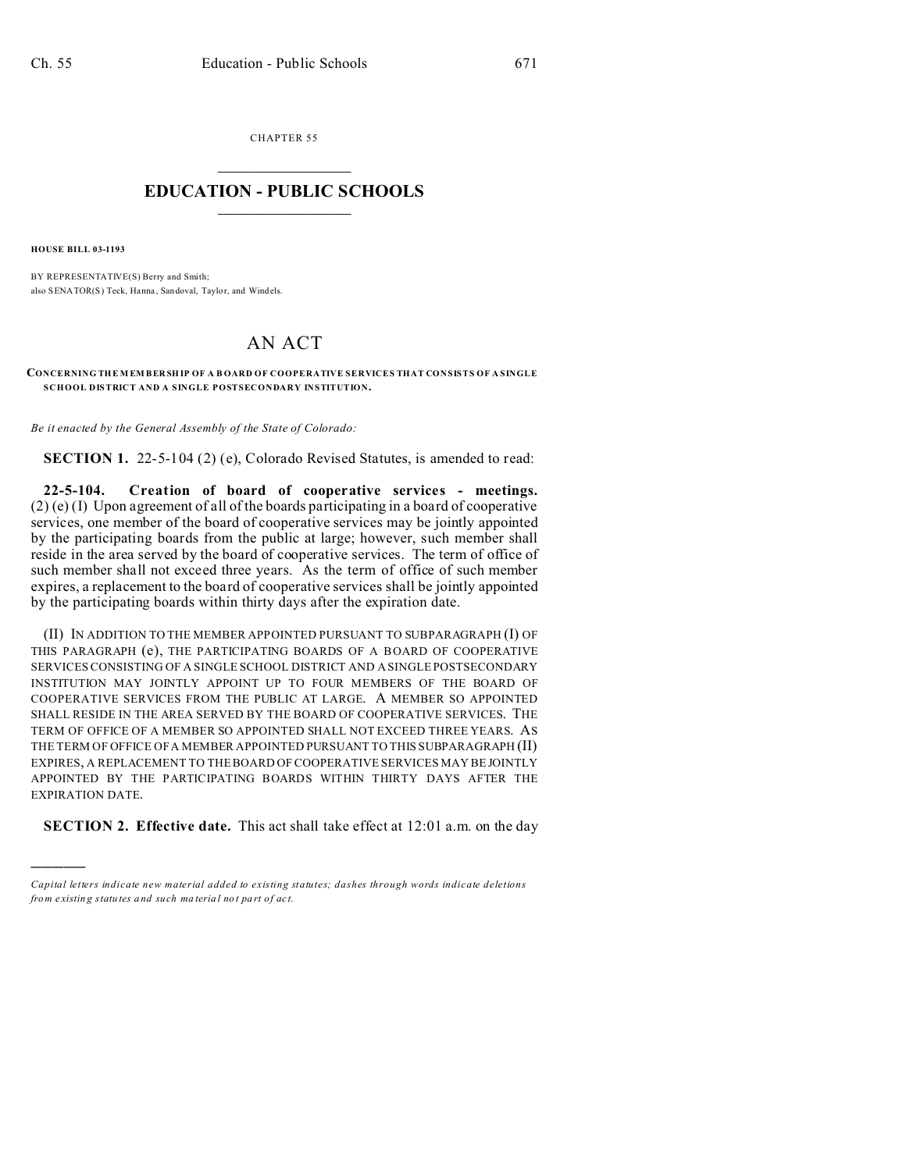CHAPTER 55  $\overline{\phantom{a}}$  , where  $\overline{\phantom{a}}$ 

## **EDUCATION - PUBLIC SCHOOLS**  $\_$   $\_$   $\_$   $\_$   $\_$   $\_$   $\_$   $\_$   $\_$

**HOUSE BILL 03-1193**

)))))

BY REPRESENTATIVE(S) Berry and Smith; also SENATOR(S) Teck, Hanna, Sandoval, Taylor, and Windels.

## AN ACT

**CONCERNING THE MEMBER SHIP OF A BOARD OF COOPERATIVE SERVICES THAT CONSISTS OF A SINGLE SCHOOL DISTRICT AND A SINGLE POSTSECONDARY INSTITUTION.**

*Be it enacted by the General Assembly of the State of Colorado:*

**SECTION 1.** 22-5-104 (2) (e), Colorado Revised Statutes, is amended to read:

**22-5-104. Creation of board of cooperative services - meetings.** (2) (e) (I) Upon agreement of all of the boards participating in a board of cooperative services, one member of the board of cooperative services may be jointly appointed by the participating boards from the public at large; however, such member shall reside in the area served by the board of cooperative services. The term of office of such member shall not exceed three years. As the term of office of such member expires, a replacement to the board of cooperative services shall be jointly appointed by the participating boards within thirty days after the expiration date.

(II) IN ADDITION TO THE MEMBER APPOINTED PURSUANT TO SUBPARAGRAPH (I) OF THIS PARAGRAPH (e), THE PARTICIPATING BOARDS OF A BOARD OF COOPERATIVE SERVICES CONSISTING OF A SINGLE SCHOOL DISTRICT AND A SINGLE POSTSECONDARY INSTITUTION MAY JOINTLY APPOINT UP TO FOUR MEMBERS OF THE BOARD OF COOPERATIVE SERVICES FROM THE PUBLIC AT LARGE. A MEMBER SO APPOINTED SHALL RESIDE IN THE AREA SERVED BY THE BOARD OF COOPERATIVE SERVICES. THE TERM OF OFFICE OF A MEMBER SO APPOINTED SHALL NOT EXCEED THREE YEARS. AS THE TERM OF OFFICE OF A MEMBER APPOINTED PURSUANT TO THIS SUBPARAGRAPH (II) EXPIRES, A REPLACEMENT TO THE BOARD OF COOPERATIVE SERVICES MAY BE JOINTLY APPOINTED BY THE PARTICIPATING BOARDS WITHIN THIRTY DAYS AFTER THE EXPIRATION DATE.

**SECTION 2. Effective date.** This act shall take effect at 12:01 a.m. on the day

*Capital letters indicate new material added to existing statutes; dashes through words indicate deletions from e xistin g statu tes a nd such ma teria l no t pa rt of ac t.*